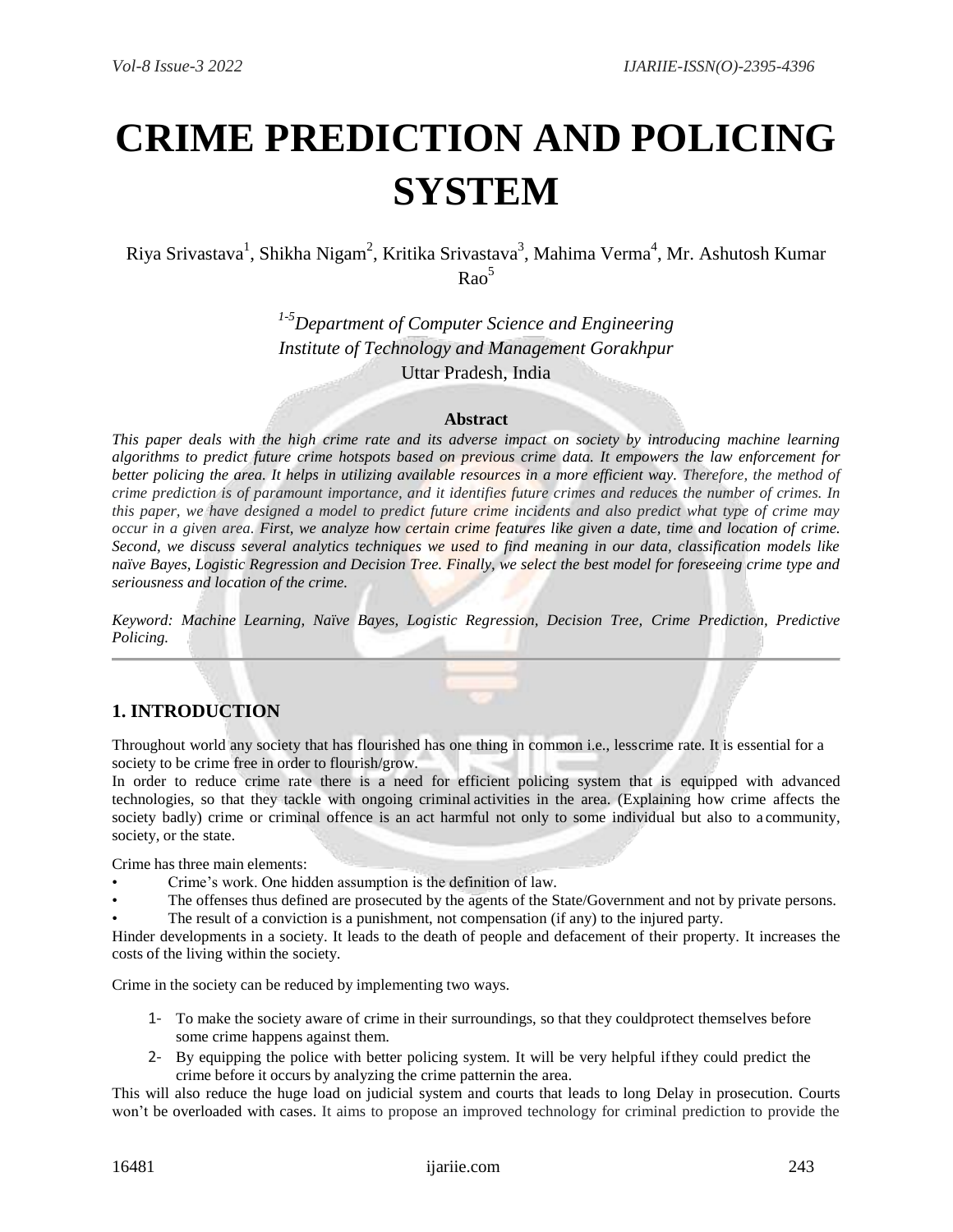# **CRIME PREDICTION AND POLICING SYSTEM**

Riya Srivastava<sup>1</sup>, Shikha Nigam<sup>2</sup>, Kritika Srivastava<sup>3</sup>, Mahima Verma<sup>4</sup>, Mr. Ashutosh Kumar  $RaO<sup>5</sup>$ 

> *1-5Department of Computer Science and Engineering Institute of Technology and Management Gorakhpur* Uttar Pradesh, India

#### **Abstract**

*This paper deals with the high crime rate and its adverse impact on society by introducing machine learning algorithms to predict future crime hotspots based on previous crime data. It empowers the law enforcement for better policing the area. It helps in utilizing available resources in a more efficient way. Therefore, the method of crime prediction is of paramount importance, and it identifies future crimes and reduces the number of crimes. In this paper, we have designed a model to predict future crime incidents and also predict what type of crime may occur in a given area. First, we analyze how certain crime features like given a date, time and location of crime. Second, we discuss several analytics techniques we used to find meaning in our data, classification models like naïve Bayes, Logistic Regression and Decision Tree. Finally, we select the best model for foreseeing crime type and seriousness and location of the crime.*

*Keyword: Machine Learning, Naïve Bayes, Logistic Regression, Decision Tree, Crime Prediction, Predictive Policing.*

## **1. INTRODUCTION**

Throughout world any society that has flourished has one thing in common i.e., lesscrime rate. It is essential for a society to be crime free in order to flourish/grow.

In order to reduce crime rate there is a need for efficient policing system that is equipped with advanced technologies, so that they tackle with ongoing criminal activities in the area. (Explaining how crime affects the society badly) crime or criminal offence is an act harmful not only to some individual but also to a community, society, or the state.

Crime has three main elements:

- Crime's work. One hidden assumption is the definition of law.
- The offenses thus defined are prosecuted by the agents of the State/Government and not by private persons.
- The result of a conviction is a punishment, not compensation (if any) to the injured party.

Hinder developments in a society. It leads to the death of people and defacement of their property. It increases the costs of the living within the society.

Crime in the society can be reduced by implementing two ways.

- 1- To make the society aware of crime in their surroundings, so that they couldprotect themselves before some crime happens against them.
- 2- By equipping the police with better policing system. It will be very helpful ifthey could predict the crime before it occurs by analyzing the crime patternin the area.

This will also reduce the huge load on judicial system and courts that leads to long Delay in prosecution. Courts won't be overloaded with cases. It aims to propose an improved technology for criminal prediction to provide the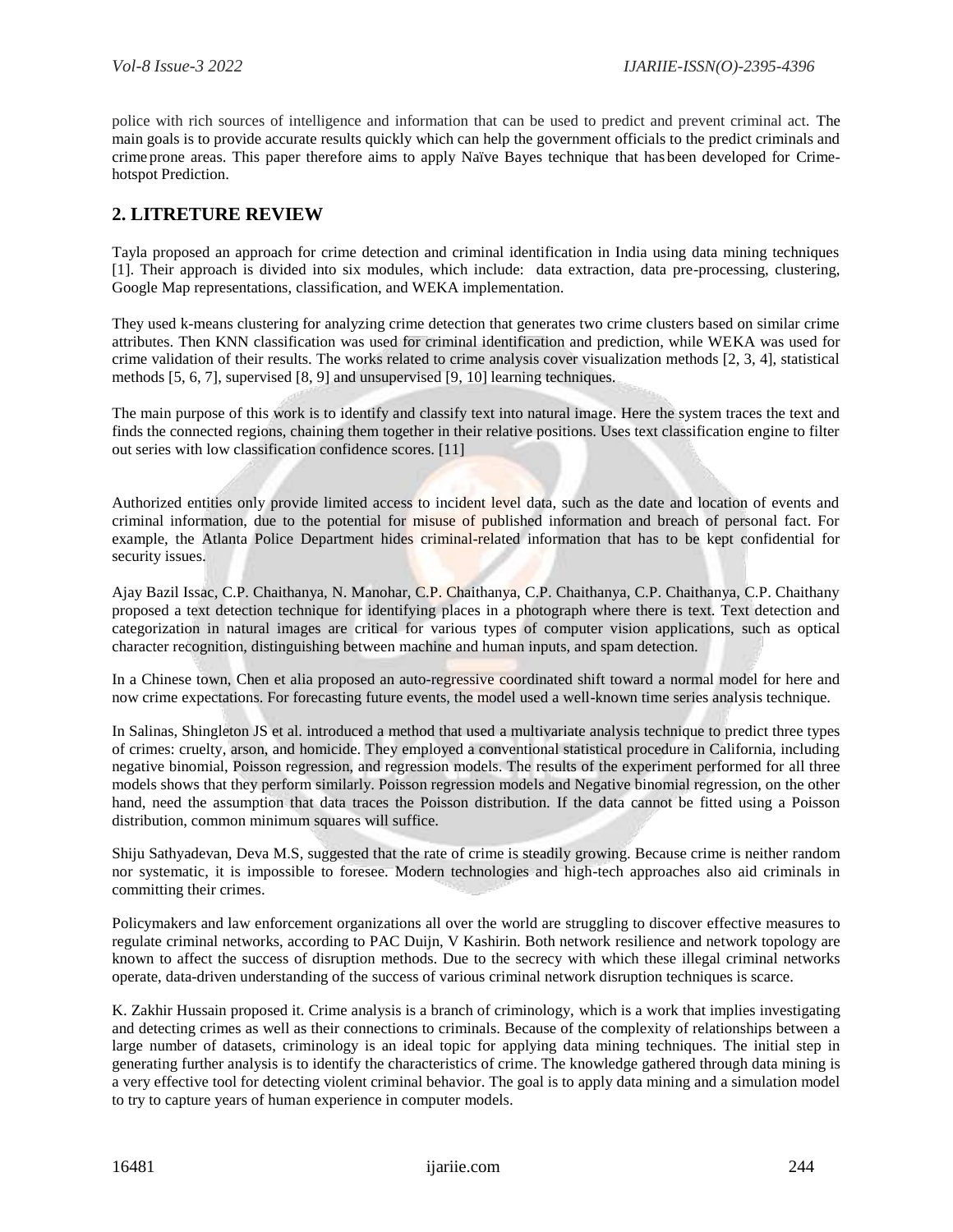police with rich sources of intelligence and information that can be used to predict and prevent criminal act. The main goals is to provide accurate results quickly which can help the government officials to the predict criminals and crime prone areas. This paper therefore aims to apply Naïve Bayes technique that has been developed for Crimehotspot Prediction.

## **2. LITRETURE REVIEW**

Tayla proposed an approach for crime detection and criminal identification in India using data mining techniques [1]. Their approach is divided into six modules, which include: data extraction, data pre-processing, clustering, Google Map representations, classification, and WEKA implementation.

They used k-means clustering for analyzing crime detection that generates two crime clusters based on similar crime attributes. Then KNN classification was used for criminal identification and prediction, while WEKA was used for crime validation of their results. The works related to crime analysis cover visualization methods [2, 3, 4], statistical methods [5, 6, 7], supervised [8, 9] and unsupervised [9, 10] learning techniques.

The main purpose of this work is to identify and classify text into natural image. Here the system traces the text and finds the connected regions, chaining them together in their relative positions. Uses text classification engine to filter out series with low classification confidence scores. [11]

Authorized entities only provide limited access to incident level data, such as the date and location of events and criminal information, due to the potential for misuse of published information and breach of personal fact. For example, the Atlanta Police Department hides criminal-related information that has to be kept confidential for security issues.

Ajay Bazil Issac, C.P. Chaithanya, N. Manohar, C.P. Chaithanya, C.P. Chaithanya, C.P. Chaithanya, C.P. Chaithany proposed a text detection technique for identifying places in a photograph where there is text. Text detection and categorization in natural images are critical for various types of computer vision applications, such as optical character recognition, distinguishing between machine and human inputs, and spam detection.

In a Chinese town, Chen et alia proposed an auto-regressive coordinated shift toward a normal model for here and now crime expectations. For forecasting future events, the model used a well-known time series analysis technique.

In Salinas, Shingleton JS et al. introduced a method that used a multivariate analysis technique to predict three types of crimes: cruelty, arson, and homicide. They employed a conventional statistical procedure in California, including negative binomial, Poisson regression, and regression models. The results of the experiment performed for all three models shows that they perform similarly. Poisson regression models and Negative binomial regression, on the other hand, need the assumption that data traces the Poisson distribution. If the data cannot be fitted using a Poisson distribution, common minimum squares will suffice.

Shiju Sathyadevan, Deva M.S, suggested that the rate of crime is steadily growing. Because crime is neither random nor systematic, it is impossible to foresee. Modern technologies and high-tech approaches also aid criminals in committing their crimes.

Policymakers and law enforcement organizations all over the world are struggling to discover effective measures to regulate criminal networks, according to PAC Duijn, V Kashirin. Both network resilience and network topology are known to affect the success of disruption methods. Due to the secrecy with which these illegal criminal networks operate, data-driven understanding of the success of various criminal network disruption techniques is scarce.

K. Zakhir Hussain proposed it. Crime analysis is a branch of criminology, which is a work that implies investigating and detecting crimes as well as their connections to criminals. Because of the complexity of relationships between a large number of datasets, criminology is an ideal topic for applying data mining techniques. The initial step in generating further analysis is to identify the characteristics of crime. The knowledge gathered through data mining is a very effective tool for detecting violent criminal behavior. The goal is to apply data mining and a simulation model to try to capture years of human experience in computer models.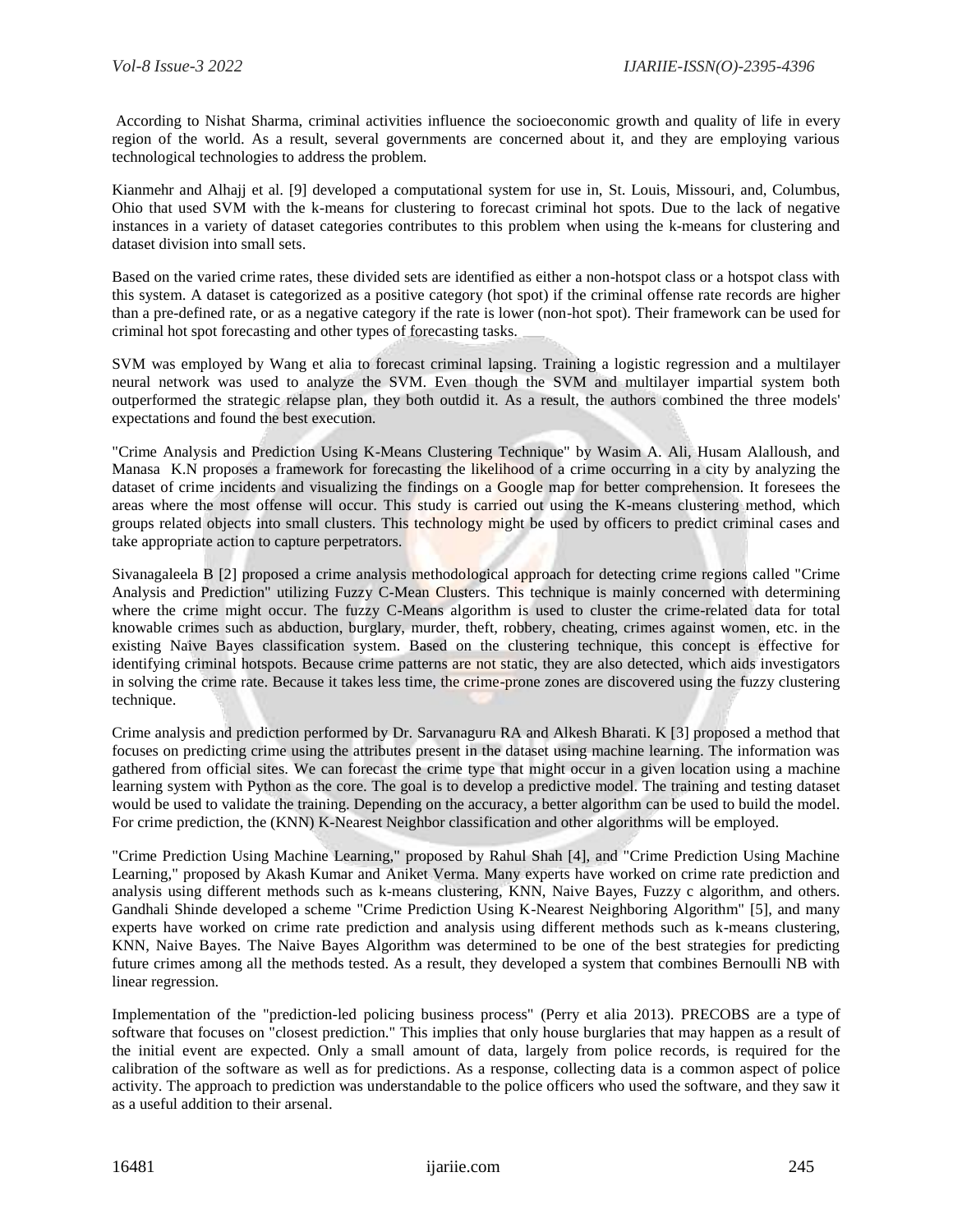According to Nishat Sharma, criminal activities influence the socioeconomic growth and quality of life in every region of the world. As a result, several governments are concerned about it, and they are employing various technological technologies to address the problem.

Kianmehr and Alhajj et al. [9] developed a computational system for use in, St. Louis, Missouri, and, Columbus, Ohio that used SVM with the k-means for clustering to forecast criminal hot spots. Due to the lack of negative instances in a variety of dataset categories contributes to this problem when using the k-means for clustering and dataset division into small sets.

Based on the varied crime rates, these divided sets are identified as either a non-hotspot class or a hotspot class with this system. A dataset is categorized as a positive category (hot spot) if the criminal offense rate records are higher than a pre-defined rate, or as a negative category if the rate is lower (non-hot spot). Their framework can be used for criminal hot spot forecasting and other types of forecasting tasks.

SVM was employed by Wang et alia to forecast criminal lapsing. Training a logistic regression and a multilayer neural network was used to analyze the SVM. Even though the SVM and multilayer impartial system both outperformed the strategic relapse plan, they both outdid it. As a result, the authors combined the three models' expectations and found the best execution.

"Crime Analysis and Prediction Using K-Means Clustering Technique" by Wasim A. Ali, Husam Alalloush, and Manasa K.N proposes a framework for forecasting the likelihood of a crime occurring in a city by analyzing the dataset of crime incidents and visualizing the findings on a Google map for better comprehension. It foresees the areas where the most offense will occur. This study is carried out using the K-means clustering method, which groups related objects into small clusters. This technology might be used by officers to predict criminal cases and take appropriate action to capture perpetrators.

Sivanagaleela B [2] proposed a crime analysis methodological approach for detecting crime regions called "Crime Analysis and Prediction" utilizing Fuzzy C-Mean Clusters. This technique is mainly concerned with determining where the crime might occur. The fuzzy C-Means algorithm is used to cluster the crime-related data for total knowable crimes such as abduction, burglary, murder, theft, robbery, cheating, crimes against women, etc. in the existing Naive Bayes classification system. Based on the clustering technique, this concept is effective for identifying criminal hotspots. Because crime patterns are not static, they are also detected, which aids investigators in solving the crime rate. Because it takes less time, the crime-prone zones are discovered using the fuzzy clustering technique.

Crime analysis and prediction performed by Dr. Sarvanaguru RA and Alkesh Bharati. K [3] proposed a method that focuses on predicting crime using the attributes present in the dataset using machine learning. The information was gathered from official sites. We can forecast the crime type that might occur in a given location using a machine learning system with Python as the core. The goal is to develop a predictive model. The training and testing dataset would be used to validate the training. Depending on the accuracy, a better algorithm can be used to build the model. For crime prediction, the (KNN) K-Nearest Neighbor classification and other algorithms will be employed.

"Crime Prediction Using Machine Learning," proposed by Rahul Shah [4], and "Crime Prediction Using Machine Learning," proposed by Akash Kumar and Aniket Verma. Many experts have worked on crime rate prediction and analysis using different methods such as k-means clustering, KNN, Naive Bayes, Fuzzy c algorithm, and others. Gandhali Shinde developed a scheme "Crime Prediction Using K-Nearest Neighboring Algorithm" [5], and many experts have worked on crime rate prediction and analysis using different methods such as k-means clustering, KNN, Naive Bayes. The Naive Bayes Algorithm was determined to be one of the best strategies for predicting future crimes among all the methods tested. As a result, they developed a system that combines Bernoulli NB with linear regression.

Implementation of the "prediction-led policing business process" (Perry et alia 2013). PRECOBS are a type of software that focuses on "closest prediction." This implies that only house burglaries that may happen as a result of the initial event are expected. Only a small amount of data, largely from police records, is required for the calibration of the software as well as for predictions. As a response, collecting data is a common aspect of police activity. The approach to prediction was understandable to the police officers who used the software, and they saw it as a useful addition to their arsenal.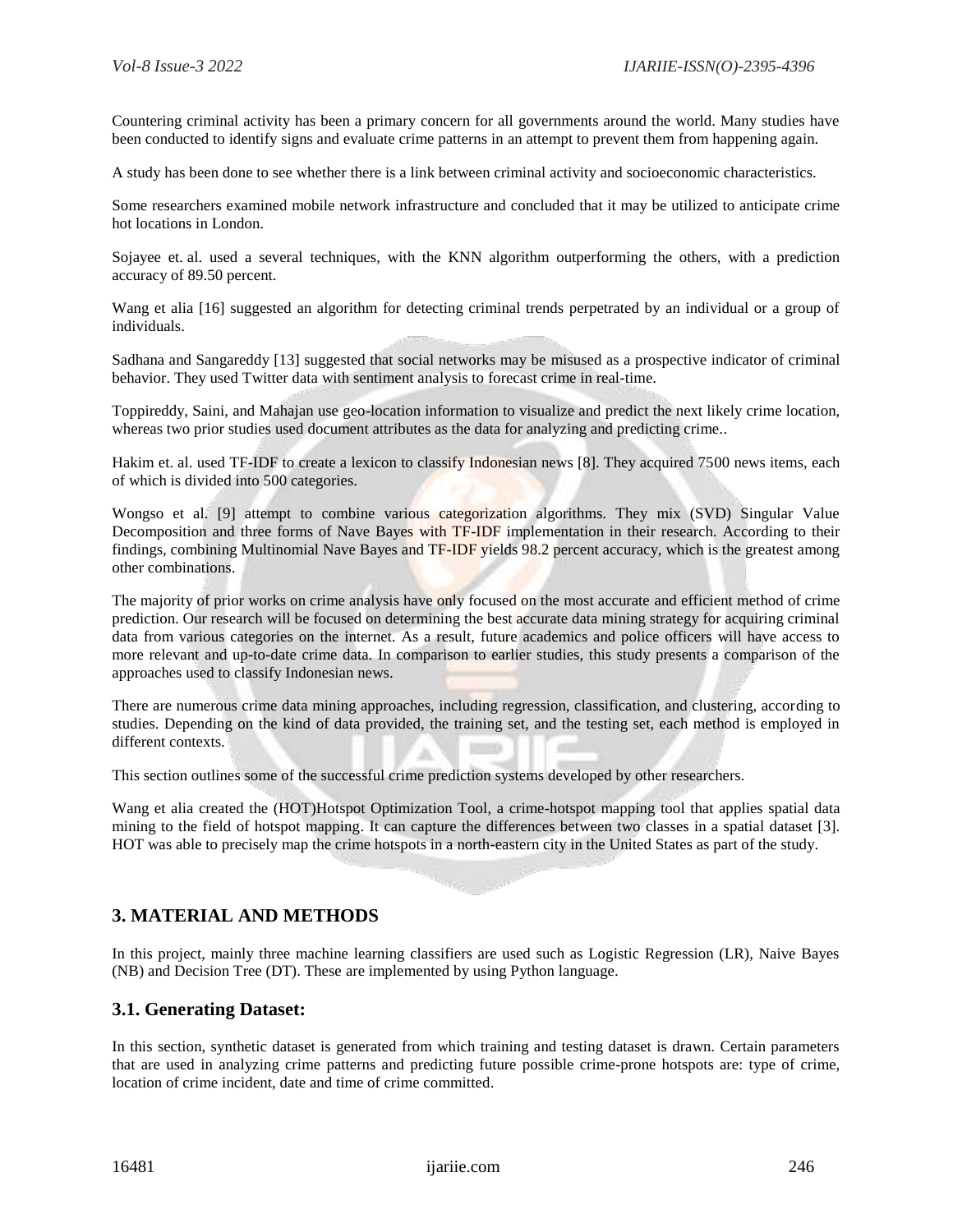Countering criminal activity has been a primary concern for all governments around the world. Many studies have been conducted to identify signs and evaluate crime patterns in an attempt to prevent them from happening again.

A study has been done to see whether there is a link between criminal activity and socioeconomic characteristics.

Some researchers examined mobile network infrastructure and concluded that it may be utilized to anticipate crime hot locations in London.

Sojayee et. al. used a several techniques, with the KNN algorithm outperforming the others, with a prediction accuracy of 89.50 percent.

Wang et alia [16] suggested an algorithm for detecting criminal trends perpetrated by an individual or a group of individuals.

Sadhana and Sangareddy [13] suggested that social networks may be misused as a prospective indicator of criminal behavior. They used Twitter data with sentiment analysis to forecast crime in real-time.

Toppireddy, Saini, and Mahajan use geo-location information to visualize and predict the next likely crime location, whereas two prior studies used document attributes as the data for analyzing and predicting crime..

Hakim et. al. used TF-IDF to create a lexicon to classify Indonesian news [8]. They acquired 7500 news items, each of which is divided into 500 categories.

Wongso et al. [9] attempt to combine various categorization algorithms. They mix (SVD) Singular Value Decomposition and three forms of Nave Bayes with TF-IDF implementation in their research. According to their findings, combining Multinomial Nave Bayes and TF-IDF yields 98.2 percent accuracy, which is the greatest among other combinations.

The majority of prior works on crime analysis have only focused on the most accurate and efficient method of crime prediction. Our research will be focused on determining the best accurate data mining strategy for acquiring criminal data from various categories on the internet. As a result, future academics and police officers will have access to more relevant and up-to-date crime data. In comparison to earlier studies, this study presents a comparison of the approaches used to classify Indonesian news.

There are numerous crime data mining approaches, including regression, classification, and clustering, according to studies. Depending on the kind of data provided, the training set, and the testing set, each method is employed in different contexts.

This section outlines some of the successful crime prediction systems developed by other researchers.

Wang et alia created the (HOT)Hotspot Optimization Tool, a crime-hotspot mapping tool that applies spatial data mining to the field of hotspot mapping. It can capture the differences between two classes in a spatial dataset [3]. HOT was able to precisely map the crime hotspots in a north-eastern city in the United States as part of the study.

#### **3. MATERIAL AND METHODS**

In this project, mainly three machine learning classifiers are used such as Logistic Regression (LR), Naive Bayes (NB) and Decision Tree (DT). These are implemented by using Python language.

#### **3.1. Generating Dataset:**

In this section, synthetic dataset is generated from which training and testing dataset is drawn. Certain parameters that are used in analyzing crime patterns and predicting future possible crime-prone hotspots are: type of crime, location of crime incident, date and time of crime committed.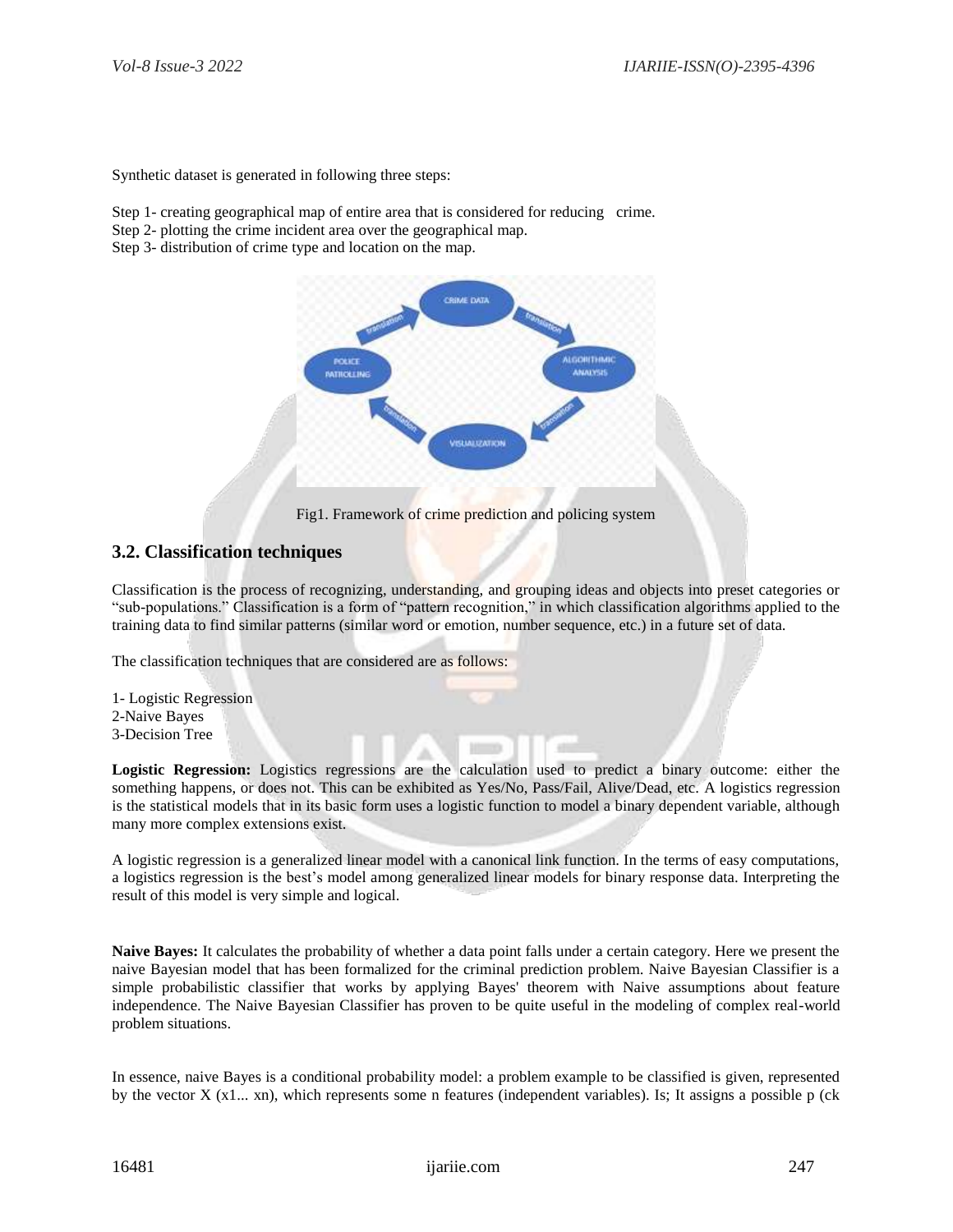Synthetic dataset is generated in following three steps:

Step 1- creating geographical map of entire area that is considered for reducing crime.

Step 2- plotting the crime incident area over the geographical map.

Step 3- distribution of crime type and location on the map.



Fig1. Framework of crime prediction and policing system

#### **3.2. Classification techniques**

Classification is the process of recognizing, understanding, and grouping ideas and objects into preset categories or "sub-populations." Classification is a form of "pattern recognition," in which classification algorithms applied to the training data to find similar patterns (similar word or emotion, number sequence, etc.) in a future set of data.

The classification techniques that are considered are as follows:

1- Logistic Regression 2-Naive Bayes 3-Decision Tree

**Logistic Regression:** Logistics regressions are the calculation used to predict a binary outcome: either the something happens, or does not. This can be exhibited as Yes/No, Pass/Fail, Alive/Dead, etc. A logistics regression is the statistical models that in its basic form uses a logistic function to model a binary dependent variable, although many more complex extensions exist.

A logistic regression is a generalized linear model with a canonical link function. In the terms of easy computations, a logistics regression is the best's model among generalized linear models for binary response data. Interpreting the result of this model is very simple and logical.

**Naive Bayes:** It calculates the probability of whether a data point falls under a certain category. Here we present the naive Bayesian model that has been formalized for the criminal prediction problem. Naive Bayesian Classifier is a simple probabilistic classifier that works by applying Bayes' theorem with Naive assumptions about feature independence. The Naive Bayesian Classifier has proven to be quite useful in the modeling of complex real-world problem situations.

In essence, naive Bayes is a conditional probability model: a problem example to be classified is given, represented by the vector  $X(x1...xn)$ , which represents some n features (independent variables). Is; It assigns a possible p (ck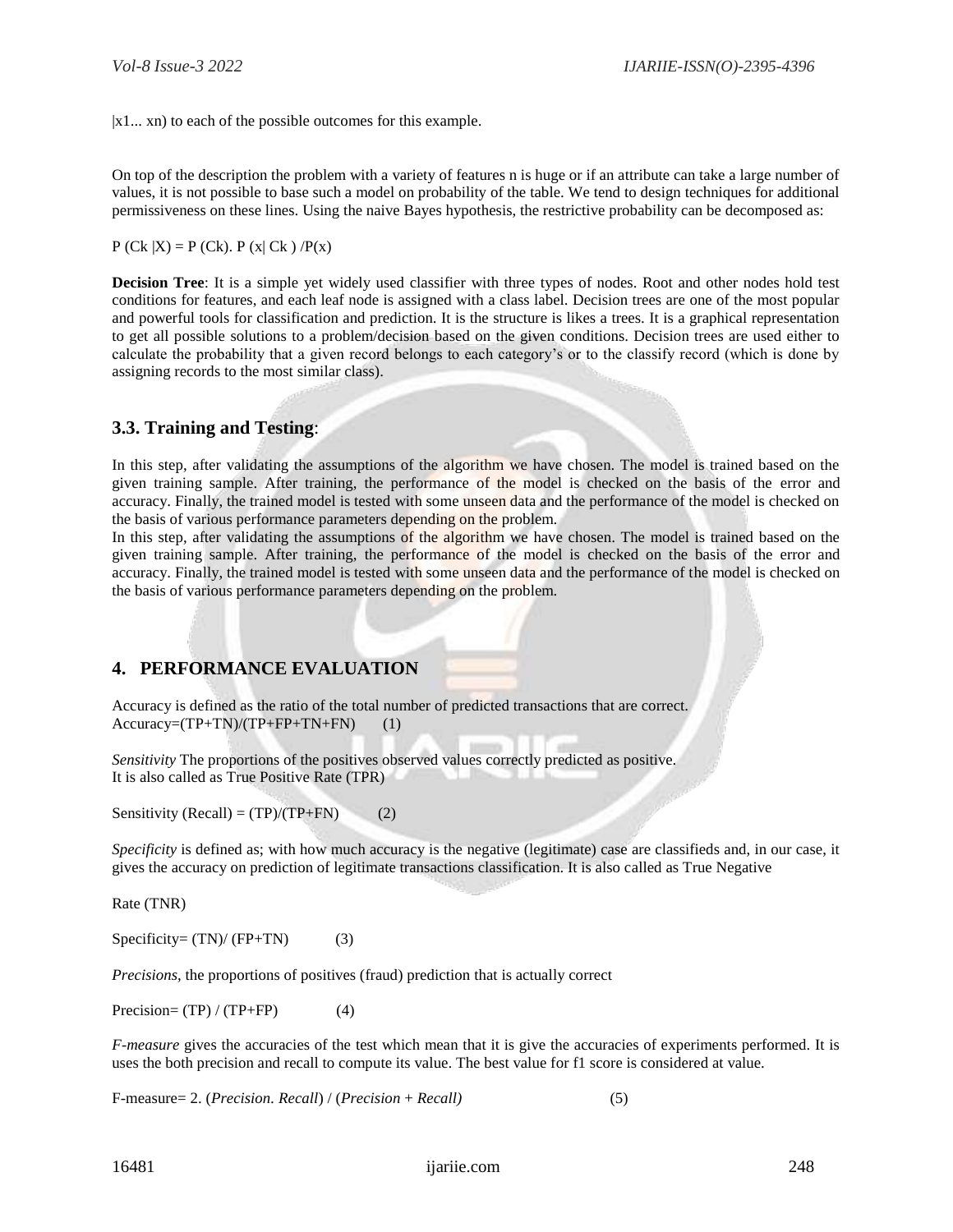|x1... xn) to each of the possible outcomes for this example.

On top of the description the problem with a variety of features n is huge or if an attribute can take a large number of values, it is not possible to base such a model on probability of the table. We tend to design techniques for additional permissiveness on these lines. Using the naive Bayes hypothesis, the restrictive probability can be decomposed as:

 $P (Ck | X) = P (Ck)$ .  $P (x | Ck) / P(x)$ 

**Decision Tree**: It is a simple yet widely used classifier with three types of nodes. Root and other nodes hold test conditions for features, and each leaf node is assigned with a class label. Decision trees are one of the most popular and powerful tools for classification and prediction. It is the structure is likes a trees. It is a graphical representation to get all possible solutions to a problem/decision based on the given conditions. Decision trees are used either to calculate the probability that a given record belongs to each category's or to the classify record (which is done by assigning records to the most similar class).

## **3.3. Training and Testing**:

In this step, after validating the assumptions of the algorithm we have chosen. The model is trained based on the given training sample. After training, the performance of the model is checked on the basis of the error and accuracy. Finally, the trained model is tested with some unseen data and the performance of the model is checked on the basis of various performance parameters depending on the problem.

In this step, after validating the assumptions of the algorithm we have chosen. The model is trained based on the given training sample. After training, the performance of the model is checked on the basis of the error and accuracy. Finally, the trained model is tested with some unseen data and the performance of the model is checked on the basis of various performance parameters depending on the problem.

#### **4. PERFORMANCE EVALUATION**

Accuracy is defined as the ratio of the total number of predicted transactions that are correct. Accuracy=(TP+TN)/(TP+FP+TN+FN) (1)

*Sensitivity* The proportions of the positives observed values correctly predicted as positive. It is also called as True Positive Rate (TPR)

Sensitivity  $(Recall) = (TP)/(TP+FN)$  (2)

*Specificity* is defined as; with how much accuracy is the negative (legitimate) case are classifieds and, in our case, it gives the accuracy on prediction of legitimate transactions classification. It is also called as True Negative

Rate (TNR)

 $Specificity = (TN)/(FP+TN)$  (3)

*Precisions,* the proportions of positives (fraud) prediction that is actually correct

Precision=  $(TP) / (TP+FP)$  (4)

*F-measure* gives the accuracies of the test which mean that it is give the accuracies of experiments performed. It is uses the both precision and recall to compute its value. The best value for f1 score is considered at value.

F-measure= 2. (*Precision. Recall*) / (*Precision* + *Recall)* (5)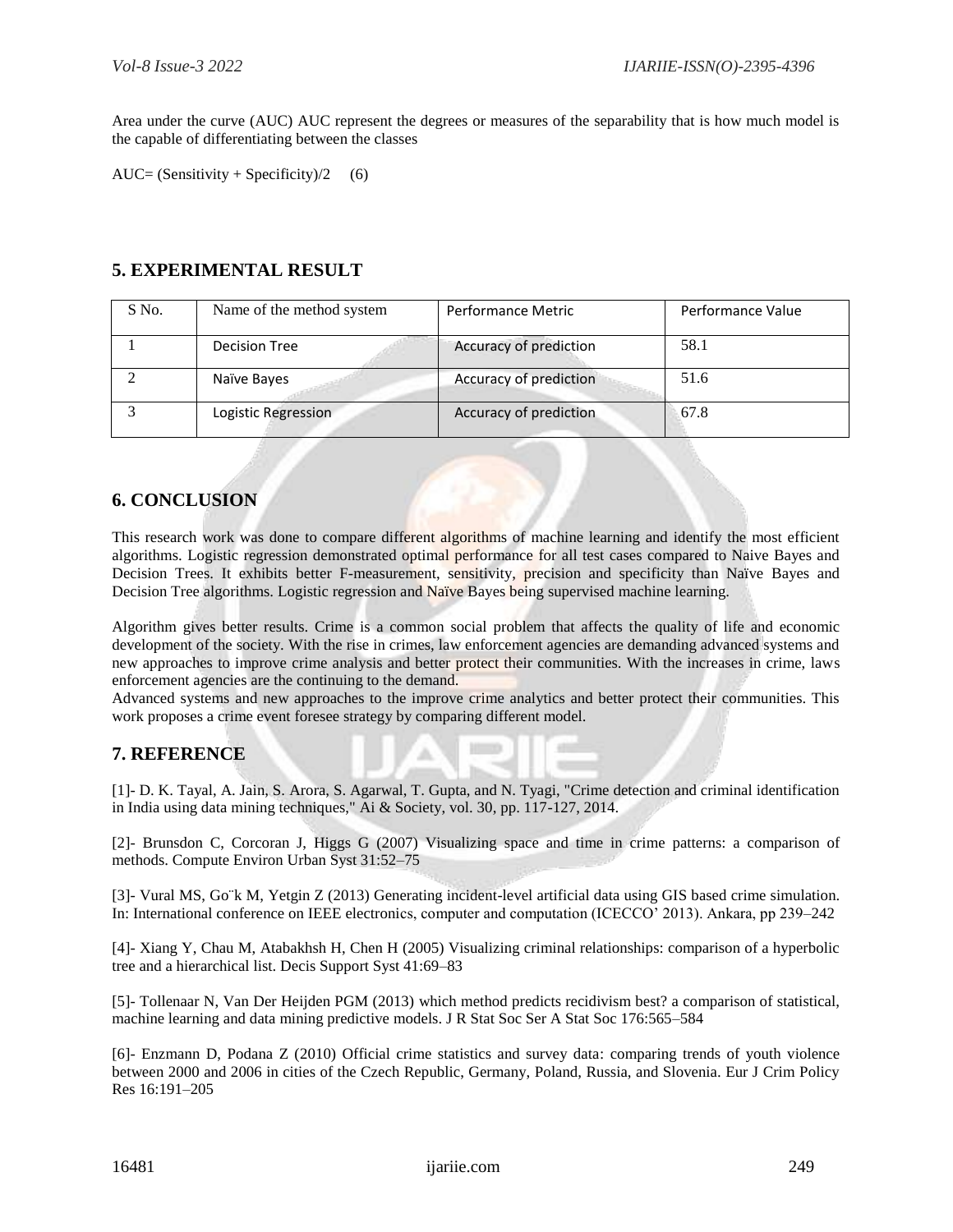Area under the curve (AUC) AUC represent the degrees or measures of the separability that is how much model is the capable of differentiating between the classes

AUC= (Sensitivity + Specificity)/2 (6)

## **5. EXPERIMENTAL RESULT**

| S No. | Name of the method system | Performance Metric     | Performance Value |
|-------|---------------------------|------------------------|-------------------|
|       | Decision Tree             | Accuracy of prediction | 58.1              |
|       | Naïve Bayes               | Accuracy of prediction | 51.6              |
|       | Logistic Regression       | Accuracy of prediction | 67.8              |

## **6. CONCLUSION**

This research work was done to compare different algorithms of machine learning and identify the most efficient algorithms. Logistic regression demonstrated optimal performance for all test cases compared to Naive Bayes and Decision Trees. It exhibits better F-measurement, sensitivity, precision and specificity than Naïve Bayes and Decision Tree algorithms. Logistic regression and Naïve Bayes being supervised machine learning.

Algorithm gives better results. Crime is a common social problem that affects the quality of life and economic development of the society. With the rise in crimes, law enforcement agencies are demanding advanced systems and new approaches to improve crime analysis and better protect their communities. With the increases in crime, laws enforcement agencies are the continuing to the demand.

Advanced systems and new approaches to the improve crime analytics and better protect their communities. This work proposes a crime event foresee strategy by comparing different model.

## **7. REFERENCE**

[1]- D. K. Tayal, A. Jain, S. Arora, S. Agarwal, T. Gupta, and N. Tyagi, "Crime detection and criminal identification in India using data mining techniques," Ai & Society, vol. 30, pp. 117-127, 2014.

[2]- Brunsdon C, Corcoran J, Higgs G (2007) Visualizing space and time in crime patterns: a comparison of methods. Compute Environ Urban Syst 31:52–75

[3]- Vural MS, Go¨k M, Yetgin Z (2013) Generating incident-level artificial data using GIS based crime simulation. In: International conference on IEEE electronics, computer and computation (ICECCO' 2013). Ankara, pp 239–242

[4]- Xiang Y, Chau M, Atabakhsh H, Chen H (2005) Visualizing criminal relationships: comparison of a hyperbolic tree and a hierarchical list. Decis Support Syst 41:69–83

[5]- Tollenaar N, Van Der Heijden PGM (2013) which method predicts recidivism best? a comparison of statistical, machine learning and data mining predictive models. J R Stat Soc Ser A Stat Soc 176:565–584

[6]- Enzmann D, Podana Z (2010) Official crime statistics and survey data: comparing trends of youth violence between 2000 and 2006 in cities of the Czech Republic, Germany, Poland, Russia, and Slovenia. Eur J Crim Policy Res 16:191–205